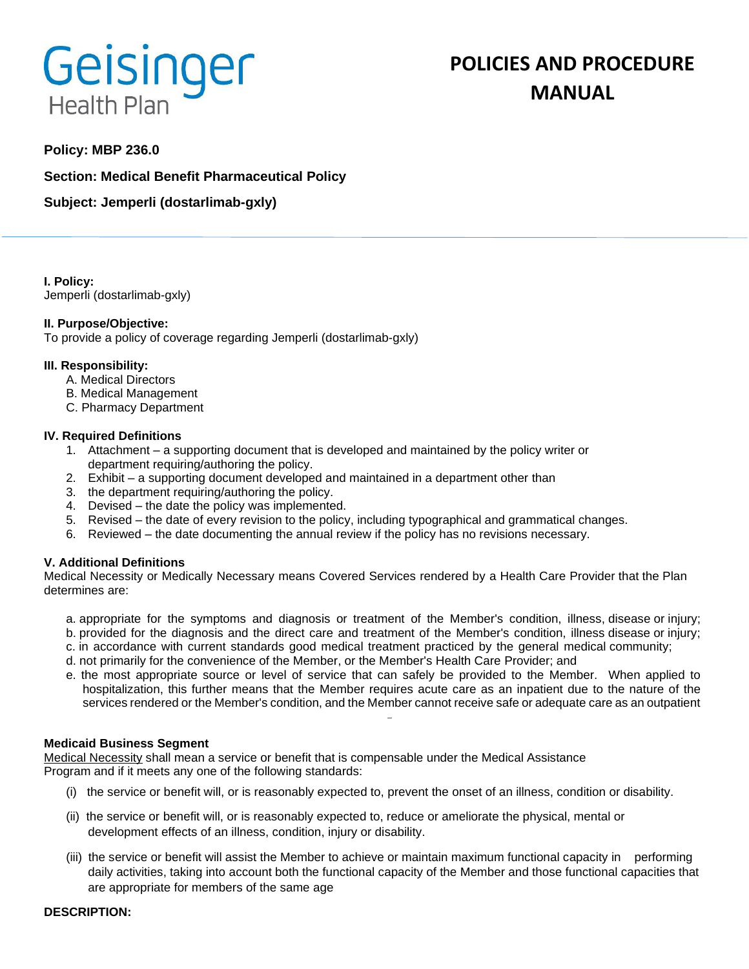# Geisinger **Health Plan**

# **POLICIES AND PROCEDURE MANUAL**

# **Policy: MBP 236.0**

**Section: Medical Benefit Pharmaceutical Policy**

**Subject: Jemperli (dostarlimab-gxly)**

**I. Policy:** Jemperli (dostarlimab-gxly)

# **II. Purpose/Objective:**

To provide a policy of coverage regarding Jemperli (dostarlimab-gxly)

#### **III. Responsibility:**

- A. Medical Directors
- B. Medical Management
- C. Pharmacy Department

#### **IV. Required Definitions**

- 1. Attachment a supporting document that is developed and maintained by the policy writer or department requiring/authoring the policy.
- 2. Exhibit a supporting document developed and maintained in a department other than
- 3. the department requiring/authoring the policy.
- 4. Devised the date the policy was implemented.
- 5. Revised the date of every revision to the policy, including typographical and grammatical changes.
- 6. Reviewed the date documenting the annual review if the policy has no revisions necessary.

# **V. Additional Definitions**

Medical Necessity or Medically Necessary means Covered Services rendered by a Health Care Provider that the Plan determines are:

- a. appropriate for the symptoms and diagnosis or treatment of the Member's condition, illness, disease or injury; b. provided for the diagnosis and the direct care and treatment of the Member's condition, illness disease or injury;
- c. in accordance with current standards good medical treatment practiced by the general medical community;
- d. not primarily for the convenience of the Member, or the Member's Health Care Provider; and
- e. the most appropriate source or level of service that can safely be provided to the Member. When applied to hospitalization, this further means that the Member requires acute care as an inpatient due to the nature of the services rendered or the Member's condition, and the Member cannot receive safe or adequate care as an outpatient

#### **Medicaid Business Segment**

Medical Necessity shall mean a service or benefit that is compensable under the Medical Assistance Program and if it meets any one of the following standards:

- (i) the service or benefit will, or is reasonably expected to, prevent the onset of an illness, condition or disability.
- (ii) the service or benefit will, or is reasonably expected to, reduce or ameliorate the physical, mental or development effects of an illness, condition, injury or disability.
- (iii) the service or benefit will assist the Member to achieve or maintain maximum functional capacity in performing daily activities, taking into account both the functional capacity of the Member and those functional capacities that are appropriate for members of the same age

#### **DESCRIPTION:**